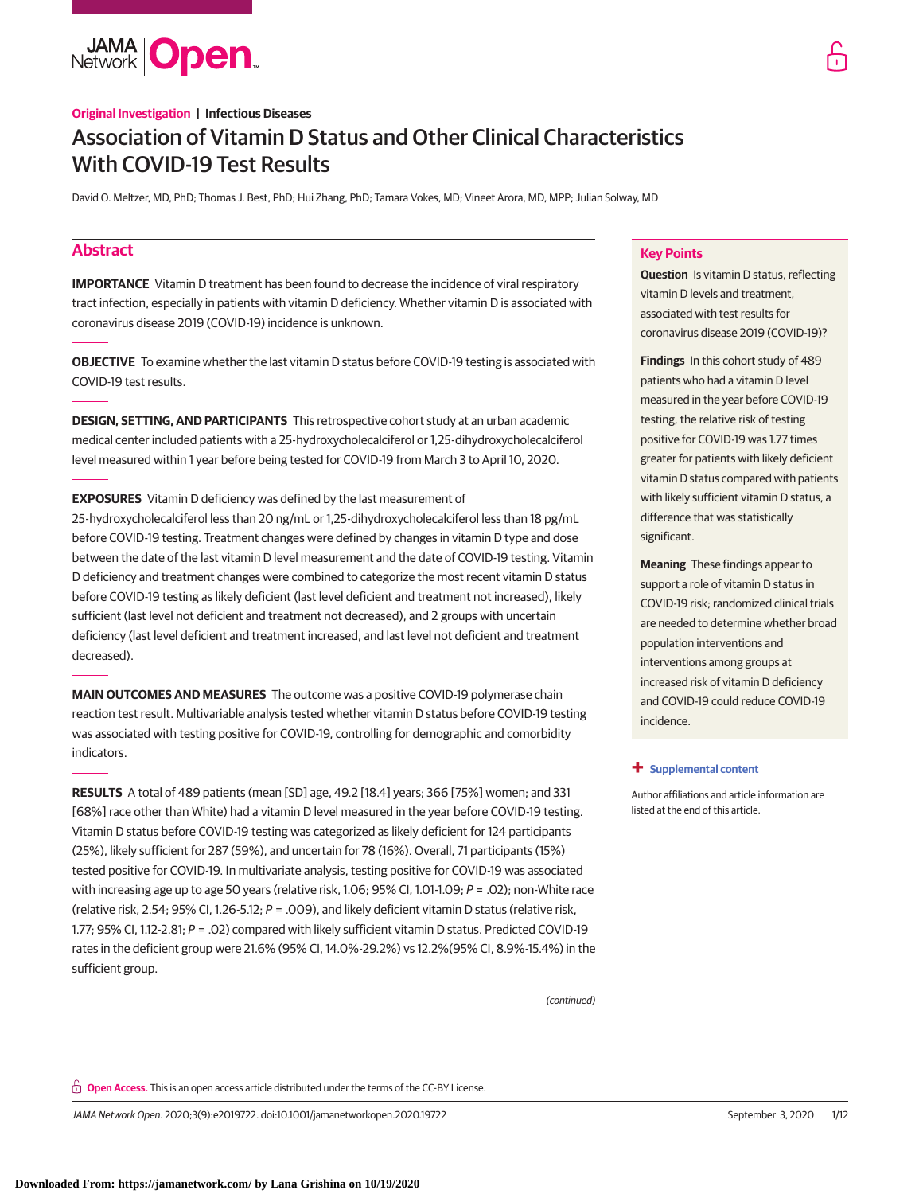**JAMA Open** 

David O. Meltzer, MD, PhD; Thomas J. Best, PhD; Hui Zhang, PhD; Tamara Vokes, MD; Vineet Arora, MD, MPP; Julian Solway, MD

# **Abstract**

**IMPORTANCE** Vitamin D treatment has been found to decrease the incidence of viral respiratory tract infection, especially in patients with vitamin D deficiency. Whether vitamin D is associated with coronavirus disease 2019 (COVID-19) incidence is unknown.

**OBJECTIVE** To examine whether the last vitamin D status before COVID-19 testing is associated with COVID-19 test results.

**DESIGN, SETTING, AND PARTICIPANTS** This retrospective cohort study at an urban academic medical center included patients with a 25-hydroxycholecalciferol or 1,25-dihydroxycholecalciferol level measured within 1 year before being tested for COVID-19 from March 3 to April 10, 2020.

**EXPOSURES** Vitamin D deficiency was defined by the last measurement of 25-hydroxycholecalciferol less than 20 ng/mL or 1,25-dihydroxycholecalciferol less than 18 pg/mL before COVID-19 testing. Treatment changes were defined by changes in vitamin D type and dose between the date of the last vitamin D level measurement and the date of COVID-19 testing. Vitamin D deficiency and treatment changes were combined to categorize the most recent vitamin D status before COVID-19 testing as likely deficient (last level deficient and treatment not increased), likely sufficient (last level not deficient and treatment not decreased), and 2 groups with uncertain deficiency (last level deficient and treatment increased, and last level not deficient and treatment decreased).

**MAIN OUTCOMES AND MEASURES** The outcome was a positive COVID-19 polymerase chain reaction test result. Multivariable analysis tested whether vitamin D status before COVID-19 testing was associated with testing positive for COVID-19, controlling for demographic and comorbidity indicators.

**RESULTS** A total of 489 patients (mean [SD] age, 49.2 [18.4] years; 366 [75%] women; and 331 [68%] race other than White) had a vitamin D level measured in the year before COVID-19 testing. Vitamin D status before COVID-19 testing was categorized as likely deficient for 124 participants (25%), likely sufficient for 287 (59%), and uncertain for 78 (16%). Overall, 71 participants (15%) tested positive for COVID-19. In multivariate analysis, testing positive for COVID-19 was associated with increasing age up to age 50 years (relative risk, 1.06;  $95\%$  CI, 1.01-1.09;  $P = .02$ ); non-White race (relative risk, 2.54; 95% CI, 1.26-5.12;  $P = .009$ ), and likely deficient vitamin D status (relative risk, 1.77; 95% CI, 1.12-2.81; P = .02) compared with likely sufficient vitamin D status. Predicted COVID-19 rates in the deficient group were 21.6% (95% CI, 14.0%-29.2%) vs 12.2%(95% CI, 8.9%-15.4%) in the sufficient group.

(continued)

## **Key Points**

**Question** Is vitamin D status, reflecting vitamin D levels and treatment, associated with test results for coronavirus disease 2019 (COVID-19)?

**Findings** In this cohort study of 489 patients who had a vitamin D level measured in the year before COVID-19 testing, the relative risk of testing positive for COVID-19 was 1.77 times greater for patients with likely deficient vitamin D status compared with patients with likely sufficient vitamin D status, a difference that was statistically significant.

**Meaning** These findings appear to support a role of vitamin D status in COVID-19 risk; randomized clinical trials are needed to determine whether broad population interventions and interventions among groups at increased risk of vitamin D deficiency and COVID-19 could reduce COVID-19 incidence.

## **+ [Supplemental content](https://jama.jamanetwork.com/article.aspx?doi=10.1001/jamanetworkopen.2020.19722&utm_campaign=articlePDF%26utm_medium=articlePDFlink%26utm_source=articlePDF%26utm_content=jamanetworkopen.2020.19722)**

Author affiliations and article information are listed at the end of this article.

**Open Access.** This is an open access article distributed under the terms of the CC-BY License.

JAMA Network Open. 2020;3(9):e2019722. doi:10.1001/jamanetworkopen.2020.19722 (Reprinted) September 3, 2020 1/12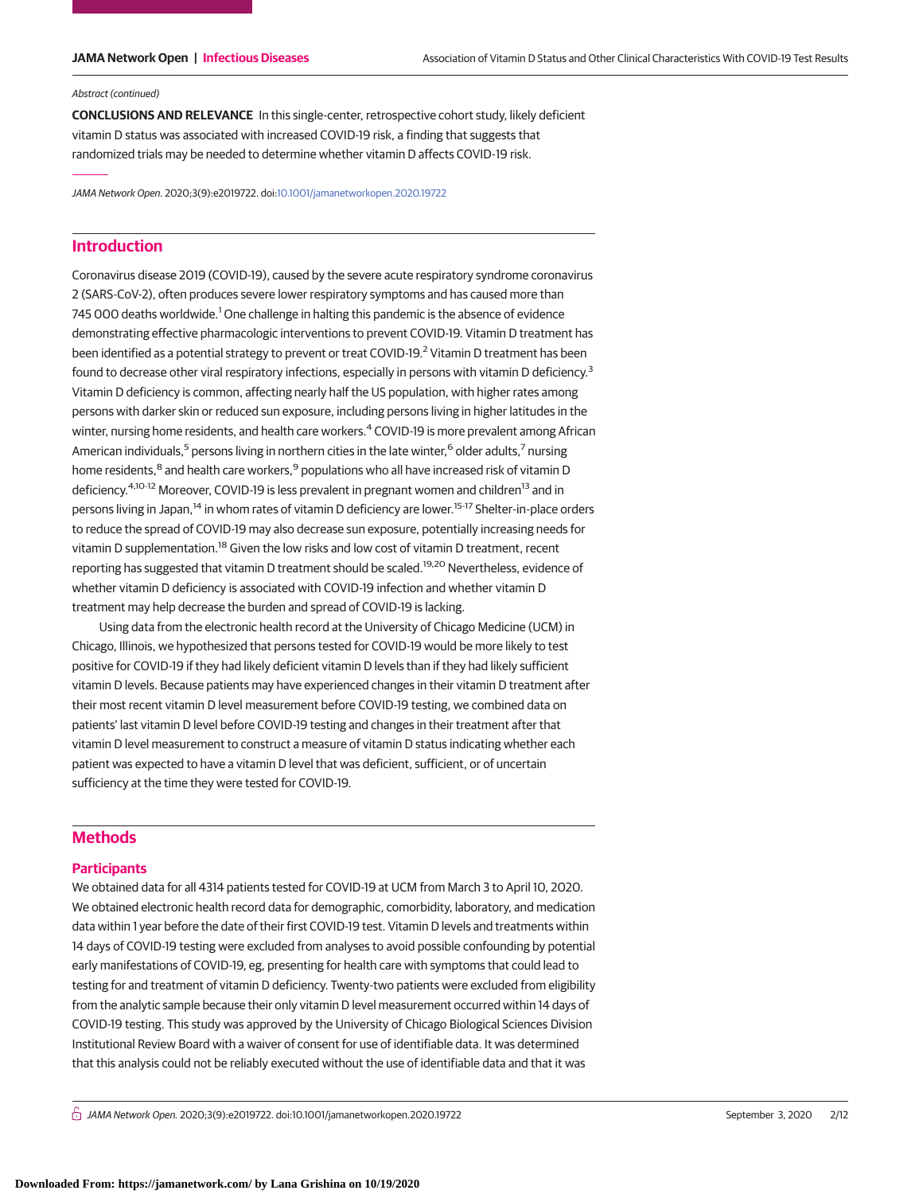### Abstract (continued)

**CONCLUSIONS AND RELEVANCE** In this single-center, retrospective cohort study, likely deficient vitamin D status was associated with increased COVID-19 risk, a finding that suggests that randomized trials may be needed to determine whether vitamin D affects COVID-19 risk.

JAMA Network Open. 2020;3(9):e2019722. doi[:10.1001/jamanetworkopen.2020.19722](https://jama.jamanetwork.com/article.aspx?doi=10.1001/jamanetworkopen.2020.19722&utm_campaign=articlePDF%26utm_medium=articlePDFlink%26utm_source=articlePDF%26utm_content=jamanetworkopen.2020.19722)

# **Introduction**

Coronavirus disease 2019 (COVID-19), caused by the severe acute respiratory syndrome coronavirus 2 (SARS-CoV-2), often produces severe lower respiratory symptoms and has caused more than 745 000 deaths worldwide.<sup>1</sup> One challenge in halting this pandemic is the absence of evidence demonstrating effective pharmacologic interventions to prevent COVID-19. Vitamin D treatment has been identified as a potential strategy to prevent or treat COVID-19.<sup>2</sup> Vitamin D treatment has been found to decrease other viral respiratory infections, especially in persons with vitamin D deficiency.<sup>3</sup> Vitamin D deficiency is common, affecting nearly half the US population, with higher rates among persons with darker skin or reduced sun exposure, including persons living in higher latitudes in the winter, nursing home residents, and health care workers.<sup>4</sup> COVID-19 is more prevalent among African American individuals,<sup>5</sup> persons living in northern cities in the late winter,<sup>6</sup> older adults,<sup>7</sup> nursing home residents,<sup>8</sup> and health care workers,<sup>9</sup> populations who all have increased risk of vitamin D deficiency.<sup>4,10-12</sup> Moreover, COVID-19 is less prevalent in pregnant women and children<sup>13</sup> and in persons living in Japan,<sup>14</sup> in whom rates of vitamin D deficiency are lower.<sup>15-17</sup> Shelter-in-place orders to reduce the spread of COVID-19 may also decrease sun exposure, potentially increasing needs for vitamin D supplementation.<sup>18</sup> Given the low risks and low cost of vitamin D treatment, recent reporting has suggested that vitamin D treatment should be scaled.<sup>19,20</sup> Nevertheless, evidence of whether vitamin D deficiency is associated with COVID-19 infection and whether vitamin D treatment may help decrease the burden and spread of COVID-19 is lacking.

Using data from the electronic health record at the University of Chicago Medicine (UCM) in Chicago, Illinois, we hypothesized that persons tested for COVID-19 would be more likely to test positive for COVID-19 if they had likely deficient vitamin D levels than if they had likely sufficient vitamin D levels. Because patients may have experienced changes in their vitamin D treatment after their most recent vitamin D level measurement before COVID-19 testing, we combined data on patients' last vitamin D level before COVID-19 testing and changes in their treatment after that vitamin D level measurement to construct a measure of vitamin D status indicating whether each patient was expected to have a vitamin D level that was deficient, sufficient, or of uncertain sufficiency at the time they were tested for COVID-19.

# **Methods**

## **Participants**

We obtained data for all 4314 patients tested for COVID-19 at UCM from March 3 to April 10, 2020. We obtained electronic health record data for demographic, comorbidity, laboratory, and medication data within 1 year before the date of their first COVID-19 test. Vitamin D levels and treatments within 14 days of COVID-19 testing were excluded from analyses to avoid possible confounding by potential early manifestations of COVID-19, eg, presenting for health care with symptoms that could lead to testing for and treatment of vitamin D deficiency. Twenty-two patients were excluded from eligibility from the analytic sample because their only vitamin D level measurement occurred within 14 days of COVID-19 testing. This study was approved by the University of Chicago Biological Sciences Division Institutional Review Board with a waiver of consent for use of identifiable data. It was determined that this analysis could not be reliably executed without the use of identifiable data and that it was

 $\bigcap$  JAMA Network Open. 2020;3(9):e2019722. doi:10.1001/jamanetworkopen.2020.19722 (Reprinted) September 3, 2020 2/12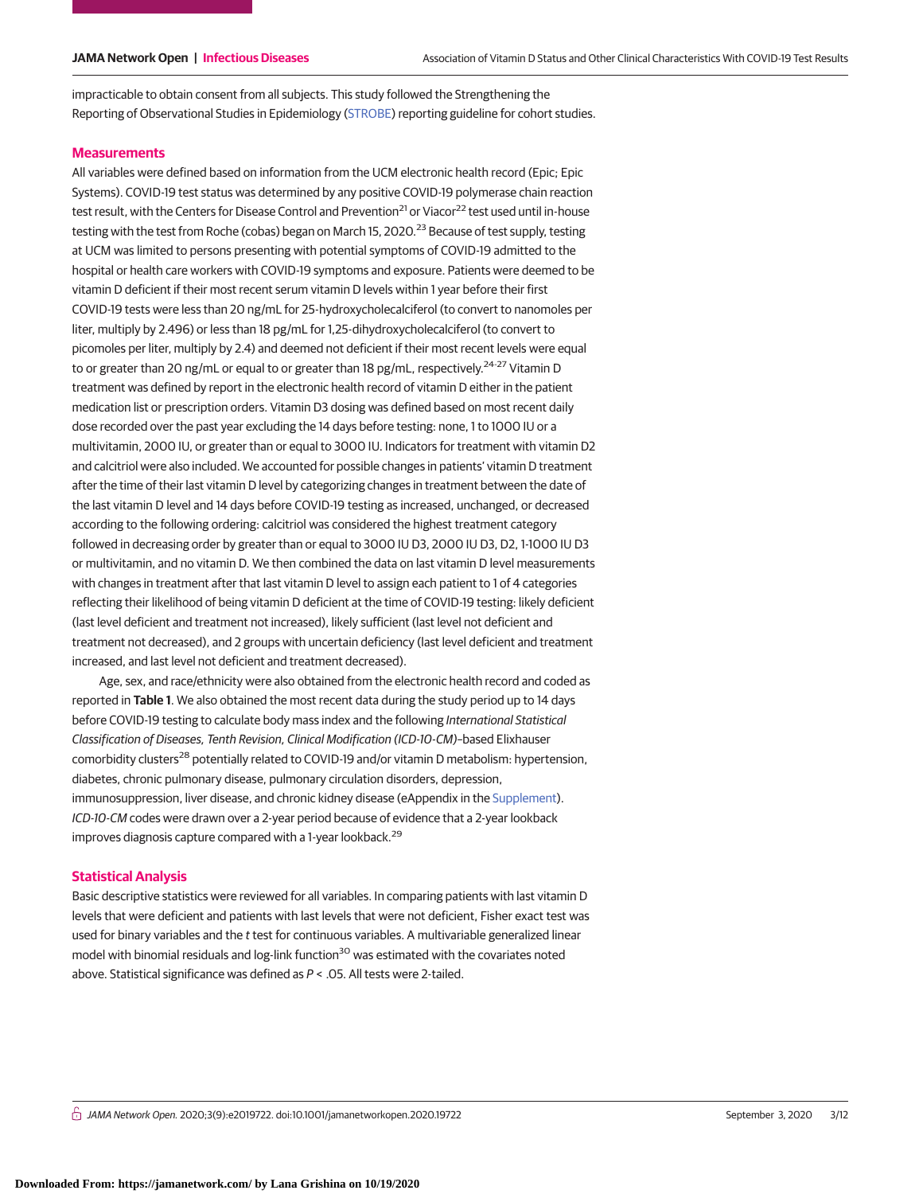impracticable to obtain consent from all subjects. This study followed the Strengthening the Reporting of Observational Studies in Epidemiology [\(STROBE\)](https://www.equator-network.org/reporting-guidelines/strobe/) reporting guideline for cohort studies.

### **Measurements**

All variables were defined based on information from the UCM electronic health record (Epic; Epic Systems). COVID-19 test status was determined by any positive COVID-19 polymerase chain reaction test result, with the Centers for Disease Control and Prevention<sup>21</sup> or Viacor<sup>22</sup> test used until in-house testing with the test from Roche (cobas) began on March 15, 2020.<sup>23</sup> Because of test supply, testing at UCM was limited to persons presenting with potential symptoms of COVID-19 admitted to the hospital or health care workers with COVID-19 symptoms and exposure. Patients were deemed to be vitamin D deficient if their most recent serum vitamin D levels within 1 year before their first COVID-19 tests were less than 20 ng/mL for 25-hydroxycholecalciferol (to convert to nanomoles per liter, multiply by 2.496) or less than 18 pg/mL for 1,25-dihydroxycholecalciferol (to convert to picomoles per liter, multiply by 2.4) and deemed not deficient if their most recent levels were equal to or greater than 20 ng/mL or equal to or greater than 18 pg/mL, respectively.<sup>24-27</sup> Vitamin D treatment was defined by report in the electronic health record of vitamin D either in the patient medication list or prescription orders. Vitamin D3 dosing was defined based on most recent daily dose recorded over the past year excluding the 14 days before testing: none, 1 to 1000 IU or a multivitamin, 2000 IU, or greater than or equal to 3000 IU. Indicators for treatment with vitamin D2 and calcitriol were also included. We accounted for possible changes in patients' vitamin D treatment after the time of their last vitamin D level by categorizing changes in treatment between the date of the last vitamin D level and 14 days before COVID-19 testing as increased, unchanged, or decreased according to the following ordering: calcitriol was considered the highest treatment category followed in decreasing order by greater than or equal to 3000 IU D3, 2000 IU D3, D2, 1-1000 IU D3 or multivitamin, and no vitamin D. We then combined the data on last vitamin D level measurements with changes in treatment after that last vitamin D level to assign each patient to 1 of 4 categories reflecting their likelihood of being vitamin D deficient at the time of COVID-19 testing: likely deficient (last level deficient and treatment not increased), likely sufficient (last level not deficient and treatment not decreased), and 2 groups with uncertain deficiency (last level deficient and treatment increased, and last level not deficient and treatment decreased).

Age, sex, and race/ethnicity were also obtained from the electronic health record and coded as reported in **Table 1**. We also obtained the most recent data during the study period up to 14 days before COVID-19 testing to calculate body mass index and the following International Statistical Classification of Diseases, Tenth Revision, Clinical Modification (ICD-10-CM)–based Elixhauser comorbidity clusters<sup>28</sup> potentially related to COVID-19 and/or vitamin D metabolism: hypertension, diabetes, chronic pulmonary disease, pulmonary circulation disorders, depression, immunosuppression, liver disease, and chronic kidney disease (eAppendix in the [Supplement\)](https://jama.jamanetwork.com/article.aspx?doi=10.1001/jamanetworkopen.2020.19722&utm_campaign=articlePDF%26utm_medium=articlePDFlink%26utm_source=articlePDF%26utm_content=jamanetworkopen.2020.19722). ICD-10-CM codes were drawn over a 2-year period because of evidence that a 2-year lookback improves diagnosis capture compared with a 1-year lookback.<sup>29</sup>

## **Statistical Analysis**

Basic descriptive statistics were reviewed for all variables. In comparing patients with last vitamin D levels that were deficient and patients with last levels that were not deficient, Fisher exact test was used for binary variables and the t test for continuous variables. A multivariable generalized linear model with binomial residuals and log-link function<sup>30</sup> was estimated with the covariates noted above. Statistical significance was defined as P < .05. All tests were 2-tailed.

 $\frac{1}{11}$  JAMA Network Open. 2020;3(9):e2019722. doi:10.1001/jamanetworkopen.2020.19722 (Reprinted at a september 3, 2020 3/12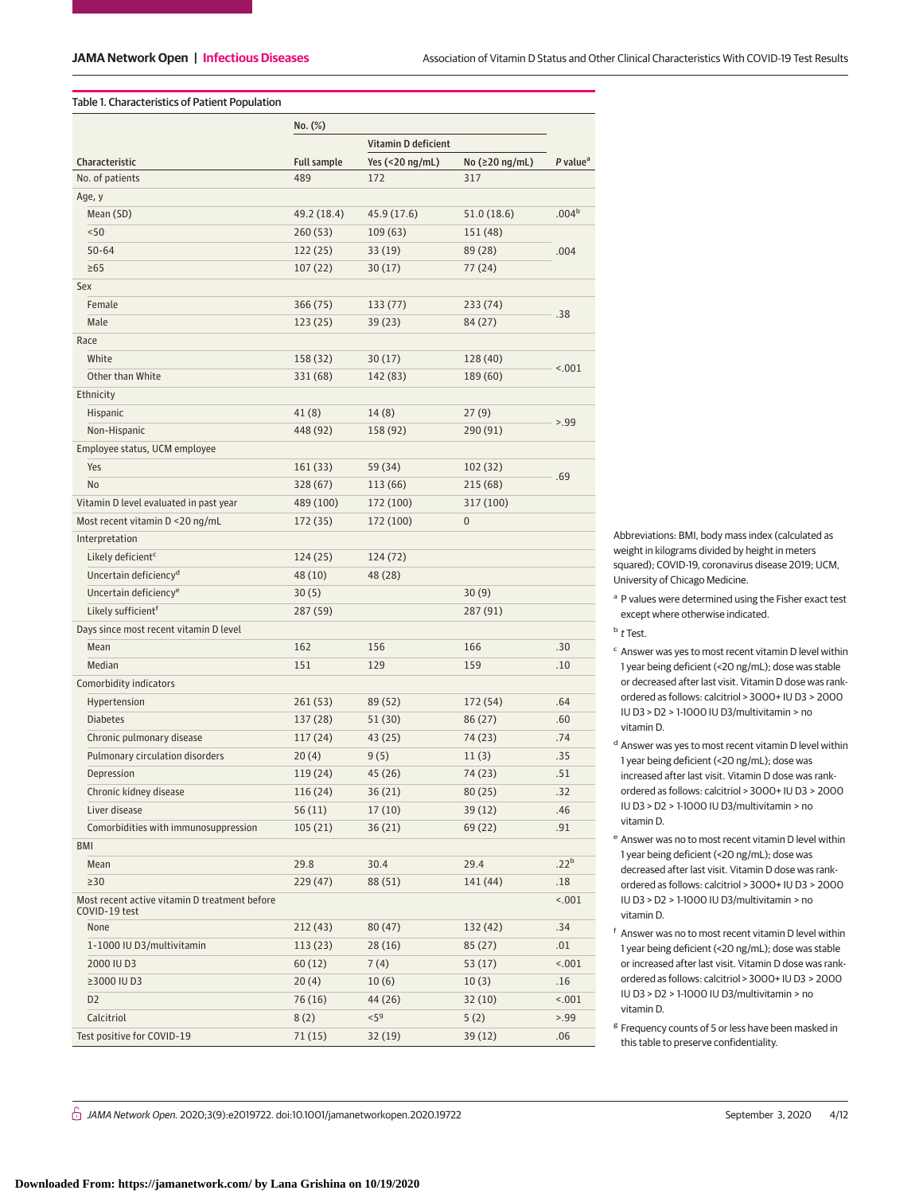## Table 1. Characteristics of Patient Population

|                                               | No. (%)            |                     |                |                        |  |
|-----------------------------------------------|--------------------|---------------------|----------------|------------------------|--|
|                                               |                    | Vitamin D deficient |                |                        |  |
| Characteristic                                | <b>Full sample</b> | Yes (<20 ng/mL)     | No (≥20 ng/mL) | $P$ value <sup>a</sup> |  |
| No. of patients                               | 489                | 172                 | 317            |                        |  |
| Age, y                                        |                    |                     |                |                        |  |
| Mean (SD)                                     | 49.2 (18.4)        | 45.9 (17.6)         | 51.0 (18.6)    | .004 <sup>b</sup>      |  |
| < 50                                          | 260(53)            | 109(63)             | 151 (48)       |                        |  |
| $50 - 64$                                     | 122(25)            | 33 (19)             | 89 (28)        | .004                   |  |
| $\geq 65$                                     | 107(22)            | 30(17)              | 77 (24)        |                        |  |
| Sex                                           |                    |                     |                |                        |  |
| Female                                        | 366 (75)           | 133 (77)            | 233 (74)       |                        |  |
| Male                                          | 123(25)            | 39 (23)             | 84 (27)        | .38                    |  |
| Race                                          |                    |                     |                |                        |  |
| White                                         | 158 (32)           | 30(17)              | 128 (40)       |                        |  |
| Other than White                              | 331 (68)           | 142 (83)            | 189 (60)       | < .001                 |  |
| Ethnicity                                     |                    |                     |                |                        |  |
| Hispanic                                      | 41(8)              | 14(8)               | 27(9)          |                        |  |
| Non-Hispanic                                  | 448 (92)           | 158 (92)            | 290 (91)       | > 0.99                 |  |
| Employee status, UCM employee                 |                    |                     |                |                        |  |
| Yes                                           | 161 (33)           | 59 (34)             | 102 (32)       |                        |  |
| No                                            | 328 (67)           | 113 (66)            | 215 (68)       | .69                    |  |
| Vitamin D level evaluated in past year        | 489 (100)          | 172 (100)           | 317 (100)      |                        |  |
| Most recent vitamin D <20 ng/mL               | 172 (35)           | 172 (100)           | $\bf{0}$       |                        |  |
| Interpretation                                |                    |                     |                |                        |  |
| Likely deficient <sup>c</sup>                 | 124(25)            | 124 (72)            |                |                        |  |
| Uncertain deficiency <sup>d</sup>             | 48 (10)            | 48 (28)             |                |                        |  |
| Uncertain deficiency <sup>e</sup>             | 30(5)              |                     | 30(9)          |                        |  |
| Likely sufficient <sup>f</sup>                | 287 (59)           |                     | 287 (91)       |                        |  |
| Days since most recent vitamin D level        |                    |                     |                |                        |  |
| Mean                                          | 162                | 156                 | 166            | .30                    |  |
| Median                                        | 151                | 129                 | 159            | .10                    |  |
| Comorbidity indicators                        |                    |                     |                |                        |  |
| Hypertension                                  | 261(53)            | 89 (52)             | 172 (54)       | .64                    |  |
| <b>Diabetes</b>                               | 137 (28)           | 51(30)              | 86 (27)        | .60                    |  |
| Chronic pulmonary disease                     | 117(24)            | 43 (25)             | 74 (23)        | .74                    |  |
| Pulmonary circulation disorders               | 20(4)              | 9(5)                | 11(3)          | .35                    |  |
| Depression                                    | 119 (24)           | 45 (26)             | 74 (23)        | .51                    |  |
| Chronic kidney disease                        | 116 (24)           | 36 (21)             | 80 (25)        | .32                    |  |
| Liver disease                                 | 56(11)             | 17(10)              | 39 (12)        | .46                    |  |
| Comorbidities with immunosuppression          | 105(21)            | 36(21)              | 69 (22)        | .91                    |  |
| BMI                                           |                    |                     |                |                        |  |
| Mean                                          | 29.8               | 30.4                | 29.4           | .22 <sup>b</sup>       |  |
| $\geq$ 30                                     | 229 (47)           | 88 (51)             | 141 (44)       | .18                    |  |
| Most recent active vitamin D treatment before |                    |                     |                | < .001                 |  |
| COVID-19 test                                 |                    |                     |                |                        |  |
| None                                          | 212(43)            | 80(47)              | 132 (42)       | .34                    |  |
| 1-1000 IU D3/multivitamin                     | 113(23)            | 28 (16)             | 85(27)         | .01                    |  |
| 2000 IU D3                                    | 60(12)             | 7(4)                | 53(17)         | < .001                 |  |
| ≥3000 IU D3                                   | 20(4)              | 10(6)               | 10(3)          | .16                    |  |
| D <sub>2</sub>                                | 76 (16)            | 44 (26)             | 32(10)         | < .001                 |  |
| Calcitriol                                    | 8(2)               | $<$ 5 $9$           | 5(2)           | > 99                   |  |
| Test positive for COVID-19                    | 71(15)             | 32(19)              | 39(12)         | .06                    |  |

Abbreviations: BMI, body mass index (calculated as weight in kilograms divided by height in meters squared); COVID-19, coronavirus disease 2019; UCM, University of Chicago Medicine.

<sup>a</sup> P values were determined using the Fisher exact test except where otherwise indicated.

<sup>b</sup> t Test.

- <sup>c</sup> Answer was yes to most recent vitamin D level within 1 year being deficient (<20 ng/mL); dose was stable or decreased after last visit. Vitamin D dose was rankordered as follows: calcitriol > 3000+ IU D3 > 2000 IU D3 > D2 > 1-1000 IU D3/multivitamin > no vitamin D.
- <sup>d</sup> Answer was yes to most recent vitamin D level within 1 year being deficient (<20 ng/mL); dose was increased after last visit. Vitamin D dose was rankordered as follows: calcitriol > 3000+ IU D3 > 2000 IU D3 > D2 > 1-1000 IU D3/multivitamin > no vitamin D.
- <sup>e</sup> Answer was no to most recent vitamin D level within 1 year being deficient (<20 ng/mL); dose was decreased after last visit. Vitamin D dose was rankordered as follows: calcitriol > 3000+ IU D3 > 2000 IU D3 > D2 > 1-1000 IU D3/multivitamin > no vitamin D.
- <sup>f</sup> Answer was no to most recent vitamin D level within 1 year being deficient (<20 ng/mL); dose was stable or increased after last visit. Vitamin D dose was rankordered as follows: calcitriol > 3000+ IU D3 > 2000 IU D3 > D2 > 1-1000 IU D3/multivitamin > no vitamin D.
- <sup>g</sup> Frequency counts of 5 or less have been masked in this table to preserve confidentiality.

 $\bigcap$  JAMA Network Open. 2020;3(9):e2019722. doi:10.1001/jamanetworkopen.2020.19722 (Reprinted at a september 3, 2020 4/12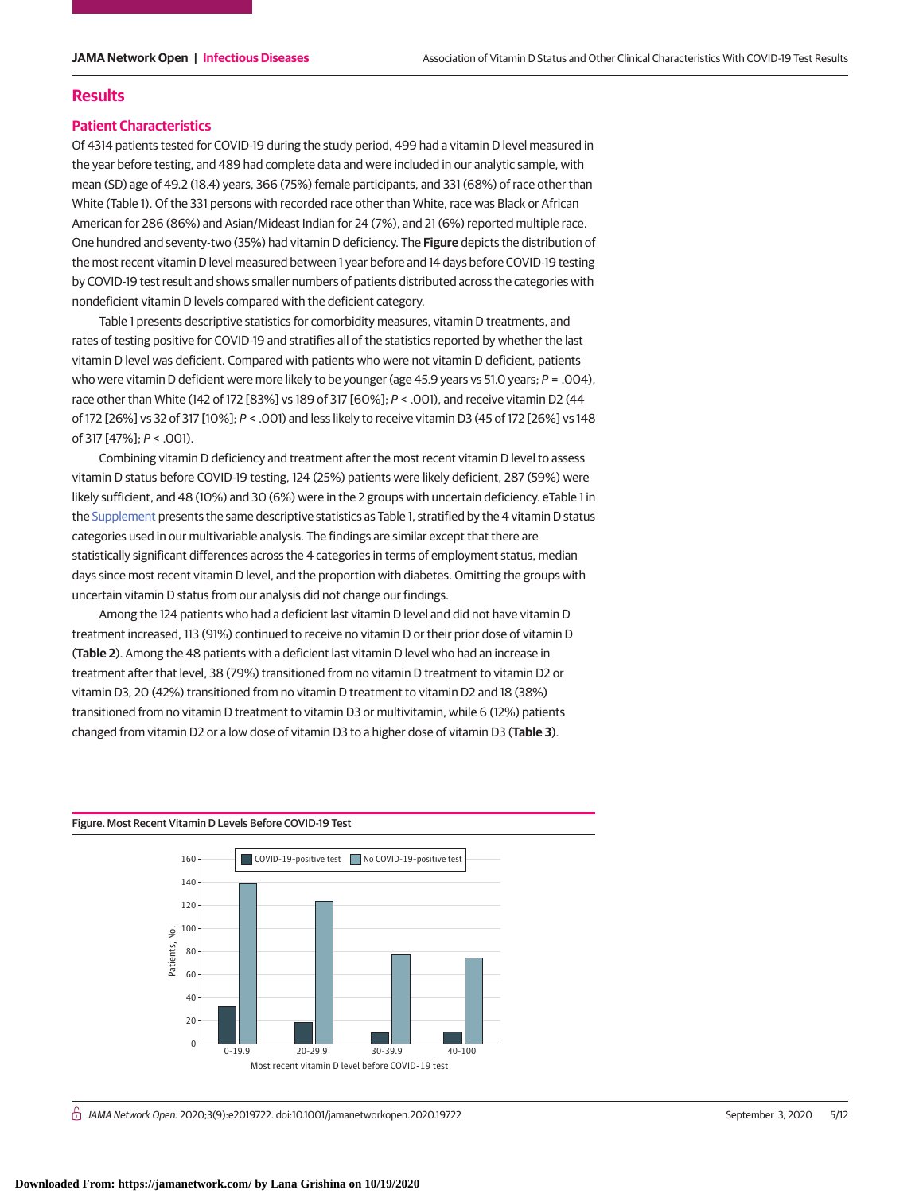## **Results**

## **Patient Characteristics**

Of 4314 patients tested for COVID-19 during the study period, 499 had a vitamin D level measured in the year before testing, and 489 had complete data and were included in our analytic sample, with mean (SD) age of 49.2 (18.4) years, 366 (75%) female participants, and 331 (68%) of race other than White (Table 1). Of the 331 persons with recorded race other than White, race was Black or African American for 286 (86%) and Asian/Mideast Indian for 24 (7%), and 21 (6%) reported multiple race. One hundred and seventy-two (35%) had vitamin D deficiency. The **Figure** depicts the distribution of the most recent vitamin D level measured between 1 year before and 14 days before COVID-19 testing by COVID-19 test result and shows smaller numbers of patients distributed across the categories with nondeficient vitamin D levels compared with the deficient category.

Table 1 presents descriptive statistics for comorbidity measures, vitamin D treatments, and rates of testing positive for COVID-19 and stratifies all of the statistics reported by whether the last vitamin D level was deficient. Compared with patients who were not vitamin D deficient, patients who were vitamin D deficient were more likely to be younger (age 45.9 years vs 51.0 years;  $P = .004$ ), race other than White (142 of 172 [83%] vs 189 of 317 [60%]; P < .001), and receive vitamin D2 (44 of 172 [26%] vs 32 of 317 [10%]; P < .001) and less likely to receive vitamin D3 (45 of 172 [26%] vs 148 of 317 [47%]; P < .001).

Combining vitamin D deficiency and treatment after the most recent vitamin D level to assess vitamin D status before COVID-19 testing, 124 (25%) patients were likely deficient, 287 (59%) were likely sufficient, and 48 (10%) and 30 (6%) were in the 2 groups with uncertain deficiency. eTable 1 in the [Supplement](https://jama.jamanetwork.com/article.aspx?doi=10.1001/jamanetworkopen.2020.19722&utm_campaign=articlePDF%26utm_medium=articlePDFlink%26utm_source=articlePDF%26utm_content=jamanetworkopen.2020.19722) presents the same descriptive statistics as Table 1, stratified by the 4 vitamin D status categories used in our multivariable analysis. The findings are similar except that there are statistically significant differences across the 4 categories in terms of employment status, median days since most recent vitamin D level, and the proportion with diabetes. Omitting the groups with uncertain vitamin D status from our analysis did not change our findings.

Among the 124 patients who had a deficient last vitamin D level and did not have vitamin D treatment increased, 113 (91%) continued to receive no vitamin D or their prior dose of vitamin D (**Table 2**). Among the 48 patients with a deficient last vitamin D level who had an increase in treatment after that level, 38 (79%) transitioned from no vitamin D treatment to vitamin D2 or vitamin D3, 20 (42%) transitioned from no vitamin D treatment to vitamin D2 and 18 (38%) transitioned from no vitamin D treatment to vitamin D3 or multivitamin, while 6 (12%) patients changed from vitamin D2 or a low dose of vitamin D3 to a higher dose of vitamin D3 (**Table 3**).

### Figure. Most Recent Vitamin D Levels Before COVID-19 Test



 $\stackrel{\frown}{\Pi}$  JAMA Network Open. 2020;3(9):e2019722. doi:10.1001/jamanetworkopen.2020.19722 (Reprinted at a september 3, 2020 5/12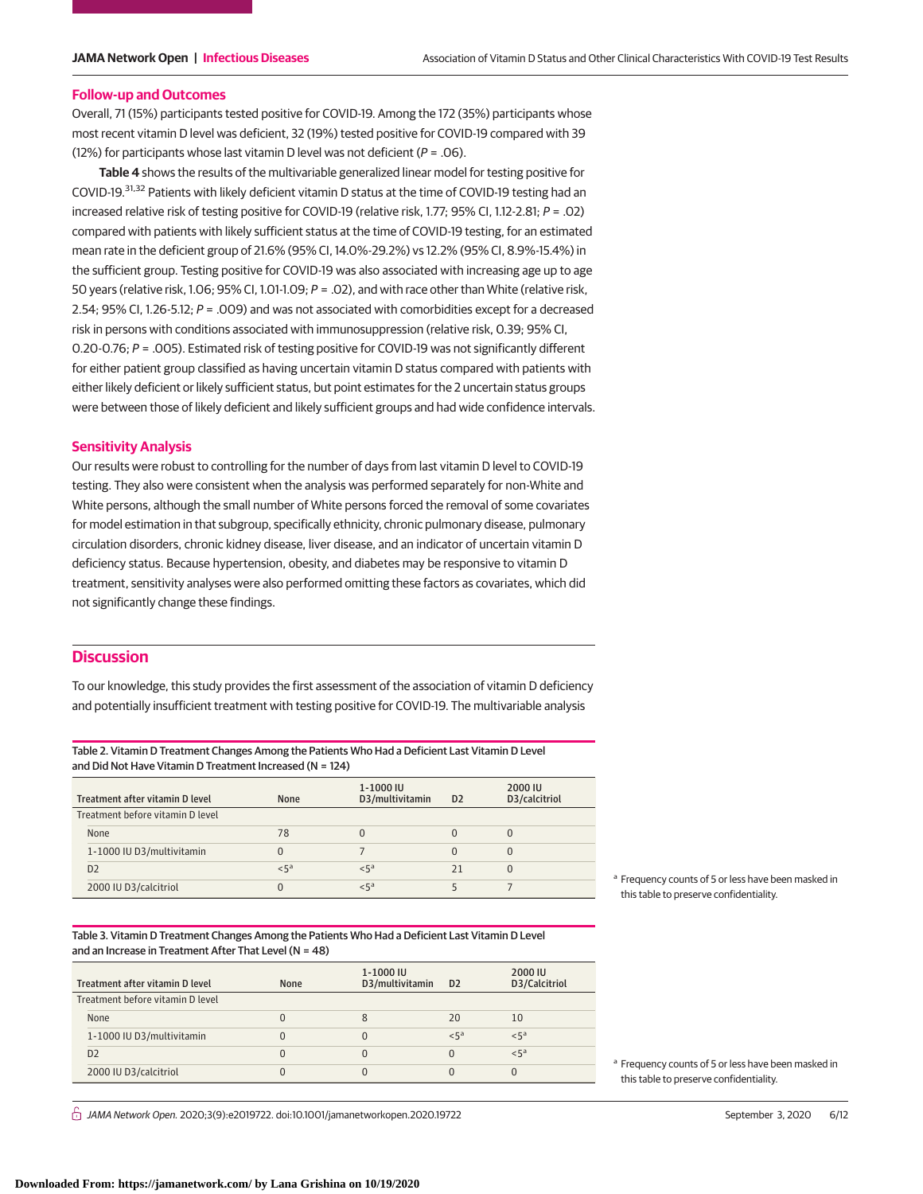### **Follow-up and Outcomes**

Overall, 71 (15%) participants tested positive for COVID-19. Among the 172 (35%) participants whose most recent vitamin D level was deficient, 32 (19%) tested positive for COVID-19 compared with 39 (12%) for participants whose last vitamin D level was not deficient ( $P = .06$ ).

**Table 4** shows the results of the multivariable generalized linear model for testing positive for COVID-19.31,32 Patients with likely deficient vitamin D status at the time of COVID-19 testing had an increased relative risk of testing positive for COVID-19 (relative risk, 1.77; 95% CI, 1.12-2.81; P = .02) compared with patients with likely sufficient status at the time of COVID-19 testing, for an estimated mean rate in the deficient group of 21.6% (95% CI, 14.0%-29.2%) vs 12.2% (95% CI, 8.9%-15.4%) in the sufficient group. Testing positive for COVID-19 was also associated with increasing age up to age 50 years (relative risk, 1.06; 95% CI, 1.01-1.09; P = .02), and with race other than White (relative risk, 2.54; 95% CI, 1.26-5.12; P = .009) and was not associated with comorbidities except for a decreased risk in persons with conditions associated with immunosuppression (relative risk, 0.39; 95% CI, 0.20-0.76; P = .005). Estimated risk of testing positive for COVID-19 was not significantly different for either patient group classified as having uncertain vitamin D status compared with patients with either likely deficient or likely sufficient status, but point estimates for the 2 uncertain status groups were between those of likely deficient and likely sufficient groups and had wide confidence intervals.

## **Sensitivity Analysis**

Our results were robust to controlling for the number of days from last vitamin D level to COVID-19 testing. They also were consistent when the analysis was performed separately for non-White and White persons, although the small number of White persons forced the removal of some covariates for model estimation in that subgroup, specifically ethnicity, chronic pulmonary disease, pulmonary circulation disorders, chronic kidney disease, liver disease, and an indicator of uncertain vitamin D deficiency status. Because hypertension, obesity, and diabetes may be responsive to vitamin D treatment, sensitivity analyses were also performed omitting these factors as covariates, which did not significantly change these findings.

## **Discussion**

To our knowledge, this study provides the first assessment of the association of vitamin D deficiency and potentially insufficient treatment with testing positive for COVID-19. The multivariable analysis

Table 2. Vitamin D Treatment Changes Among the Patients Who Had a Deficient Last Vitamin D Level and Did Not Have Vitamin D Treatment Increased (N = 124)

| Treatment after vitamin D level  | <b>None</b> | 1-1000 IU<br>D3/multivitamin | D <sub>2</sub> | 2000 IU<br>D3/calcitriol |  |
|----------------------------------|-------------|------------------------------|----------------|--------------------------|--|
| Treatment before vitamin D level |             |                              |                |                          |  |
| None                             | 78          |                              |                |                          |  |
| 1-1000 IU D3/multivitamin        | 0           |                              |                | 0                        |  |
| D <sub>2</sub>                   | $5^a$       | $5^a$                        | 71             | O                        |  |
| 2000 IU D3/calcitriol            | 0           | < 5 <sup>a</sup>             |                |                          |  |

Table 3. Vitamin D Treatment Changes Among the Patients Who Had a Deficient Last Vitamin D Level and an Increase in Treatment After That Level (N = 48)

| Treatment after vitamin D level  | None | 1-1000 IU<br>D3/multivitamin | D <sub>2</sub> | 2000 IU<br>D3/Calcitriol |
|----------------------------------|------|------------------------------|----------------|--------------------------|
| Treatment before vitamin D level |      |                              |                |                          |
| None                             | 0    | 8                            | 20             | 10                       |
| 1-1000 IU D3/multivitamin        | 0    |                              | $< 5^a$        | < 5 <sup>a</sup>         |
| D <sub>2</sub>                   | 0    |                              | 0              | < 5 <sup>a</sup>         |
| 2000 IU D3/calcitriol            | 0    |                              | 0              |                          |

<sup>a</sup> Frequency counts of 5 or less have been masked in this table to preserve confidentiality.

<sup>a</sup> Frequency counts of 5 or less have been masked in this table to preserve confidentiality.

 $\frac{1}{11}$  JAMA Network Open. 2020;3(9):e2019722. doi:10.1001/jamanetworkopen.2020.19722 (Reprinted at a september 3, 2020 6/12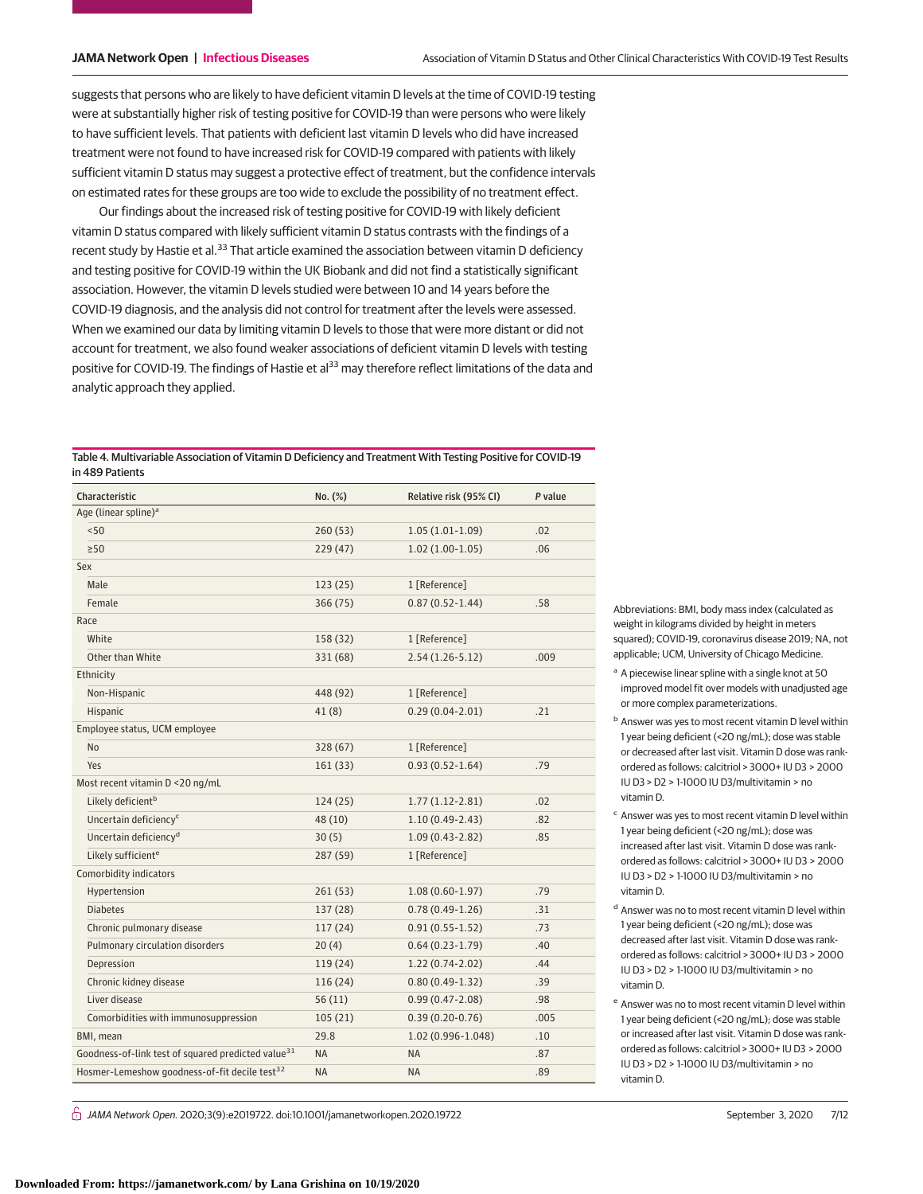suggests that persons who are likely to have deficient vitamin D levels at the time of COVID-19 testing were at substantially higher risk of testing positive for COVID-19 than were persons who were likely to have sufficient levels. That patients with deficient last vitamin D levels who did have increased treatment were not found to have increased risk for COVID-19 compared with patients with likely sufficient vitamin D status may suggest a protective effect of treatment, but the confidence intervals on estimated rates for these groups are too wide to exclude the possibility of no treatment effect.

Our findings about the increased risk of testing positive for COVID-19 with likely deficient vitamin D status compared with likely sufficient vitamin D status contrasts with the findings of a recent study by Hastie et al.<sup>33</sup> That article examined the association between vitamin D deficiency and testing positive for COVID-19 within the UK Biobank and did not find a statistically significant association. However, the vitamin D levels studied were between 10 and 14 years before the COVID-19 diagnosis, and the analysis did not control for treatment after the levels were assessed. When we examined our data by limiting vitamin D levels to those that were more distant or did not account for treatment, we also found weaker associations of deficient vitamin D levels with testing positive for COVID-19. The findings of Hastie et al<sup>33</sup> may therefore reflect limitations of the data and analytic approach they applied.

| Table 4. Multivariable Association of Vitamin D Deficiency and Treatment With Testing Positive for COVID-19 |
|-------------------------------------------------------------------------------------------------------------|
| in 489 Patients                                                                                             |

| Characteristic                                                 | No. (%)   | Relative risk (95% CI) | P value |
|----------------------------------------------------------------|-----------|------------------------|---------|
| Age (linear spline) <sup>a</sup>                               |           |                        |         |
| < 50                                                           | 260 (53)  | $1.05(1.01-1.09)$      | .02     |
| $\geq 50$                                                      | 229 (47)  | $1.02(1.00-1.05)$      | .06     |
| Sex                                                            |           |                        |         |
| Male                                                           | 123(25)   | 1 [Reference]          |         |
| Female                                                         | 366 (75)  | $0.87(0.52 - 1.44)$    | .58     |
| Race                                                           |           |                        |         |
| White                                                          | 158 (32)  | 1 [Reference]          |         |
| Other than White                                               | 331 (68)  | $2.54(1.26-5.12)$      | .009    |
| Ethnicity                                                      |           |                        |         |
| Non-Hispanic                                                   | 448 (92)  | 1 [Reference]          |         |
| Hispanic                                                       | 41 (8)    | $0.29(0.04-2.01)$      | .21     |
| Employee status, UCM employee                                  |           |                        |         |
| N <sub>o</sub>                                                 | 328(67)   | 1 [Reference]          |         |
| Yes                                                            | 161(33)   | $0.93(0.52 - 1.64)$    | .79     |
| Most recent vitamin D <20 ng/mL                                |           |                        |         |
| Likely deficient <sup>b</sup>                                  | 124(25)   | $1.77(1.12-2.81)$      | .02     |
| Uncertain deficiency <sup>c</sup>                              | 48 (10)   | $1.10(0.49-2.43)$      | .82     |
| Uncertain deficiency <sup>d</sup>                              | 30(5)     | $1.09(0.43-2.82)$      | .85     |
| Likely sufficient <sup>e</sup>                                 | 287 (59)  | 1 [Reference]          |         |
| Comorbidity indicators                                         |           |                        |         |
| Hypertension                                                   | 261 (53)  | $1.08(0.60-1.97)$      | .79     |
| <b>Diabetes</b>                                                | 137 (28)  | $0.78(0.49-1.26)$      | .31     |
| Chronic pulmonary disease                                      | 117 (24)  | $0.91(0.55 - 1.52)$    | .73     |
| Pulmonary circulation disorders                                | 20(4)     | $0.64(0.23-1.79)$      | .40     |
| Depression                                                     | 119 (24)  | $1.22(0.74-2.02)$      | .44     |
| Chronic kidney disease                                         | 116(24)   | $0.80(0.49-1.32)$      | .39     |
| Liver disease                                                  | 56(11)    | $0.99(0.47 - 2.08)$    | .98     |
| Comorbidities with immunosuppression                           | 105(21)   | $0.39(0.20-0.76)$      | .005    |
| BMI, mean                                                      | 29.8      | 1.02 (0.996-1.048)     | .10     |
| Goodness-of-link test of squared predicted value <sup>31</sup> | <b>NA</b> | <b>NA</b>              | .87     |
| Hosmer-Lemeshow goodness-of-fit decile test <sup>32</sup>      | <b>NA</b> | <b>NA</b>              | .89     |

 $\stackrel{\frown}{\Pi}$  JAMA Network Open. 2020;3(9):e2019722. doi:10.1001/jamanetworkopen.2020.19722 (Reprinted at a september 3, 2020 7/12

Abbreviations: BMI, body mass index (calculated as weight in kilograms divided by height in meters squared); COVID-19, coronavirus disease 2019; NA, not applicable; UCM, University of Chicago Medicine.

- <sup>a</sup> A piecewise linear spline with a single knot at 50 improved model fit over models with unadjusted age or more complex parameterizations.
- <sup>b</sup> Answer was yes to most recent vitamin D level within 1 year being deficient (<20 ng/mL); dose was stable or decreased after last visit. Vitamin D dose was rankordered as follows: calcitriol > 3000+ IU D3 > 2000 IU D3 > D2 > 1-1000 IU D3/multivitamin > no vitamin D.
- <sup>c</sup> Answer was yes to most recent vitamin D level within 1 year being deficient (<20 ng/mL); dose was increased after last visit. Vitamin D dose was rankordered as follows: calcitriol > 3000+ IU D3 > 2000 IU D3 > D2 > 1-1000 IU D3/multivitamin > no vitamin D.
- <sup>d</sup> Answer was no to most recent vitamin D level within 1 year being deficient (<20 ng/mL); dose was decreased after last visit. Vitamin D dose was rankordered as follows: calcitriol > 3000+ IU D3 > 2000 IU D3 > D2 > 1-1000 IU D3/multivitamin > no vitamin D.
- <sup>e</sup> Answer was no to most recent vitamin D level within 1 year being deficient (<20 ng/mL); dose was stable or increased after last visit. Vitamin D dose was rankordered as follows: calcitriol > 3000+ IU D3 > 2000 IU D3 > D2 > 1-1000 IU D3/multivitamin > no vitamin D.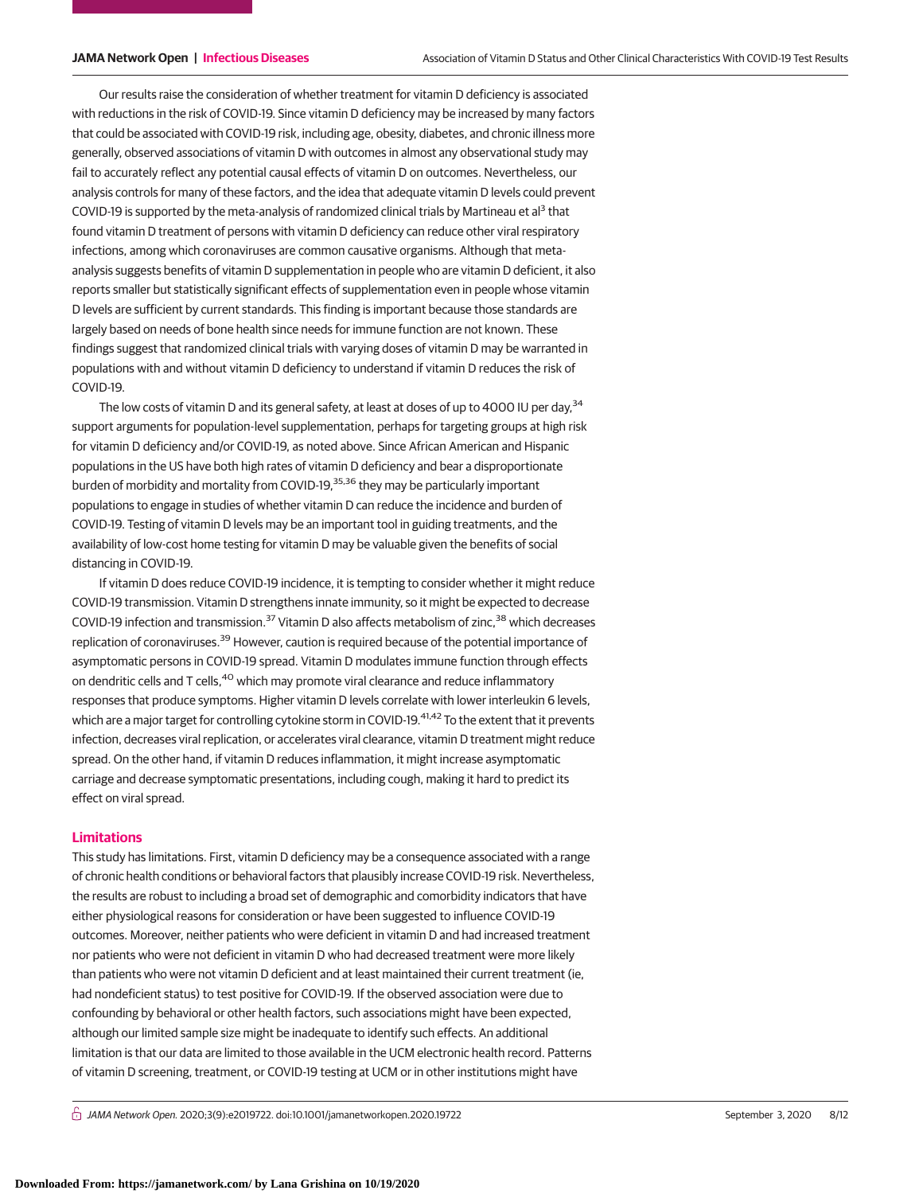Our results raise the consideration of whether treatment for vitamin D deficiency is associated with reductions in the risk of COVID-19. Since vitamin D deficiency may be increased by many factors that could be associated with COVID-19 risk, including age, obesity, diabetes, and chronic illness more generally, observed associations of vitamin D with outcomes in almost any observational study may fail to accurately reflect any potential causal effects of vitamin D on outcomes. Nevertheless, our analysis controls for many of these factors, and the idea that adequate vitamin D levels could prevent COVID-19 is supported by the meta-analysis of randomized clinical trials by Martineau et al<sup>3</sup> that found vitamin D treatment of persons with vitamin D deficiency can reduce other viral respiratory infections, among which coronaviruses are common causative organisms. Although that metaanalysis suggests benefits of vitamin D supplementation in people who are vitamin D deficient, it also reports smaller but statistically significant effects of supplementation even in people whose vitamin D levels are sufficient by current standards. This finding is important because those standards are largely based on needs of bone health since needs for immune function are not known. These findings suggest that randomized clinical trials with varying doses of vitamin D may be warranted in populations with and without vitamin D deficiency to understand if vitamin D reduces the risk of COVID-19.

The low costs of vitamin D and its general safety, at least at doses of up to 4000 IU per day,<sup>34</sup> support arguments for population-level supplementation, perhaps for targeting groups at high risk for vitamin D deficiency and/or COVID-19, as noted above. Since African American and Hispanic populations in the US have both high rates of vitamin D deficiency and bear a disproportionate burden of morbidity and mortality from COVID-19,<sup>35,36</sup> they may be particularly important populations to engage in studies of whether vitamin D can reduce the incidence and burden of COVID-19. Testing of vitamin D levels may be an important tool in guiding treatments, and the availability of low-cost home testing for vitamin D may be valuable given the benefits of social distancing in COVID-19.

If vitamin D does reduce COVID-19 incidence, it is tempting to consider whether it might reduce COVID-19 transmission. Vitamin D strengthens innate immunity, so it might be expected to decrease COVID-19 infection and transmission.<sup>37</sup> Vitamin D also affects metabolism of zinc,<sup>38</sup> which decreases replication of coronaviruses.<sup>39</sup> However, caution is required because of the potential importance of asymptomatic persons in COVID-19 spread. Vitamin D modulates immune function through effects on dendritic cells and T cells,  $40$  which may promote viral clearance and reduce inflammatory responses that produce symptoms. Higher vitamin D levels correlate with lower interleukin 6 levels, which are a major target for controlling cytokine storm in COVID-19.<sup>41,42</sup> To the extent that it prevents infection, decreases viral replication, or accelerates viral clearance, vitamin D treatment might reduce spread. On the other hand, if vitamin D reduces inflammation, it might increase asymptomatic carriage and decrease symptomatic presentations, including cough, making it hard to predict its effect on viral spread.

## **Limitations**

This study has limitations. First, vitamin D deficiency may be a consequence associated with a range of chronic health conditions or behavioral factors that plausibly increase COVID-19 risk. Nevertheless, the results are robust to including a broad set of demographic and comorbidity indicators that have either physiological reasons for consideration or have been suggested to influence COVID-19 outcomes. Moreover, neither patients who were deficient in vitamin D and had increased treatment nor patients who were not deficient in vitamin D who had decreased treatment were more likely than patients who were not vitamin D deficient and at least maintained their current treatment (ie, had nondeficient status) to test positive for COVID-19. If the observed association were due to confounding by behavioral or other health factors, such associations might have been expected, although our limited sample size might be inadequate to identify such effects. An additional limitation is that our data are limited to those available in the UCM electronic health record. Patterns of vitamin D screening, treatment, or COVID-19 testing at UCM or in other institutions might have

 $\bigcap$  JAMA Network Open. 2020;3(9):e2019722. doi:10.1001/jamanetworkopen.2020.19722 (Reprinted) September 3, 2020 8/12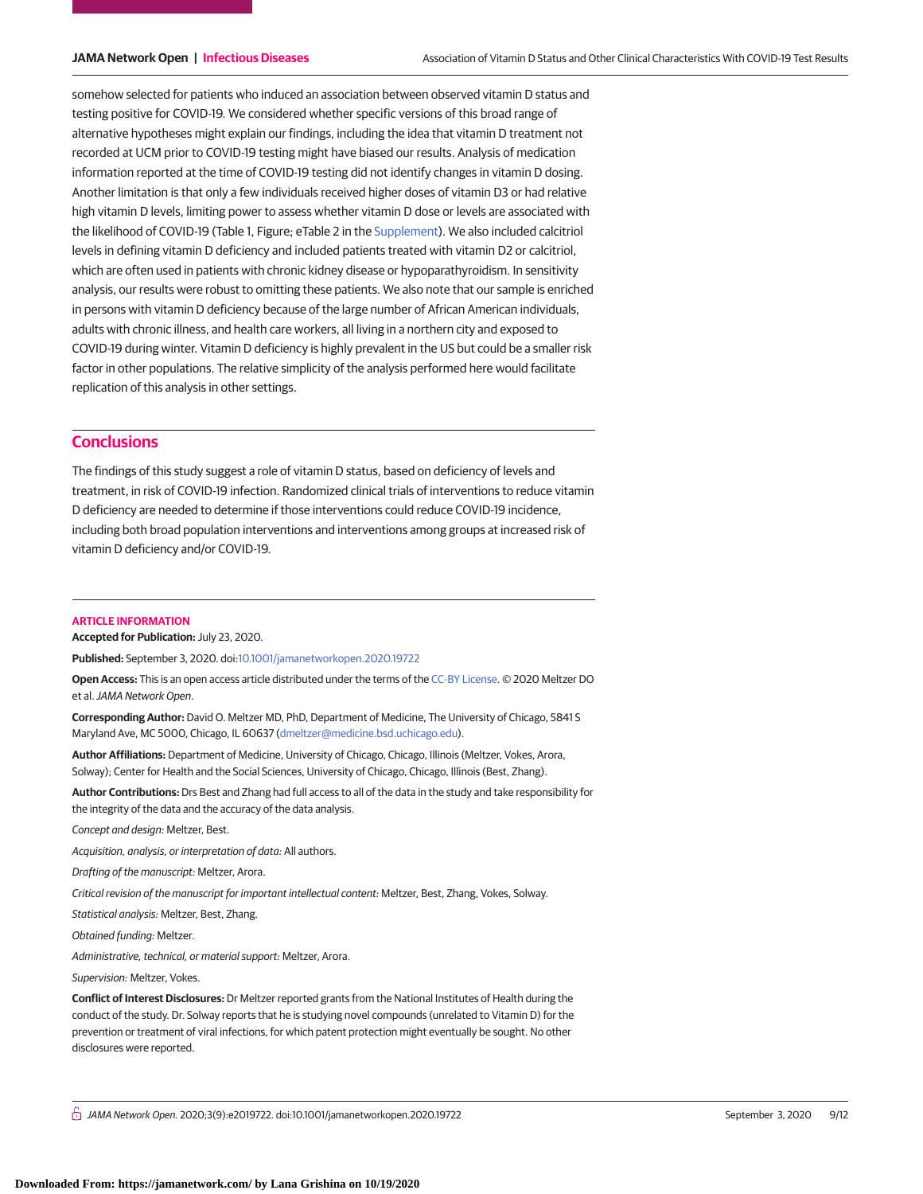somehow selected for patients who induced an association between observed vitamin D status and testing positive for COVID-19. We considered whether specific versions of this broad range of alternative hypotheses might explain our findings, including the idea that vitamin D treatment not recorded at UCM prior to COVID-19 testing might have biased our results. Analysis of medication information reported at the time of COVID-19 testing did not identify changes in vitamin D dosing. Another limitation is that only a few individuals received higher doses of vitamin D3 or had relative high vitamin D levels, limiting power to assess whether vitamin D dose or levels are associated with the likelihood of COVID-19 (Table 1, Figure; eTable 2 in the [Supplement\)](https://jama.jamanetwork.com/article.aspx?doi=10.1001/jamanetworkopen.2020.19722&utm_campaign=articlePDF%26utm_medium=articlePDFlink%26utm_source=articlePDF%26utm_content=jamanetworkopen.2020.19722). We also included calcitriol levels in defining vitamin D deficiency and included patients treated with vitamin D2 or calcitriol, which are often used in patients with chronic kidney disease or hypoparathyroidism. In sensitivity analysis, our results were robust to omitting these patients. We also note that our sample is enriched in persons with vitamin D deficiency because of the large number of African American individuals, adults with chronic illness, and health care workers, all living in a northern city and exposed to COVID-19 during winter. Vitamin D deficiency is highly prevalent in the US but could be a smaller risk factor in other populations. The relative simplicity of the analysis performed here would facilitate replication of this analysis in other settings.

## **Conclusions**

The findings of this study suggest a role of vitamin D status, based on deficiency of levels and treatment, in risk of COVID-19 infection. Randomized clinical trials of interventions to reduce vitamin D deficiency are needed to determine if those interventions could reduce COVID-19 incidence, including both broad population interventions and interventions among groups at increased risk of vitamin D deficiency and/or COVID-19.

#### **ARTICLE INFORMATION**

**Accepted for Publication:** July 23, 2020.

**Published:** September 3, 2020. doi[:10.1001/jamanetworkopen.2020.19722](https://jama.jamanetwork.com/article.aspx?doi=10.1001/jamanetworkopen.2020.19722&utm_campaign=articlePDF%26utm_medium=articlePDFlink%26utm_source=articlePDF%26utm_content=jamanetworkopen.2020.19722)

**Open Access:** This is an open access article distributed under the terms of the [CC-BY License.](https://jamanetwork.com/journals/jamanetworkopen/pages/instructions-for-authors#SecOpenAccess/?utm_campaign=articlePDF%26utm_medium=articlePDFlink%26utm_source=articlePDF%26utm_content=jamanetworkopen.2020.19722) © 2020 Meltzer DO et al.JAMA Network Open.

**Corresponding Author:** David O. Meltzer MD, PhD, Department of Medicine, The University of Chicago, 5841 S Maryland Ave, MC 5000, Chicago, IL 60637 [\(dmeltzer@medicine.bsd.uchicago.edu\)](mailto:dmeltzer@medicine.bsd.uchicago.edu).

**Author Affiliations:** Department of Medicine, University of Chicago, Chicago, Illinois (Meltzer, Vokes, Arora, Solway); Center for Health and the Social Sciences, University of Chicago, Chicago, Illinois (Best, Zhang).

**Author Contributions:** Drs Best and Zhang had full access to all of the data in the study and take responsibility for the integrity of the data and the accuracy of the data analysis.

Concept and design: Meltzer, Best.

Acquisition, analysis, or interpretation of data: All authors.

Drafting of the manuscript: Meltzer, Arora.

Critical revision of the manuscript for important intellectual content: Meltzer, Best, Zhang, Vokes, Solway.

Statistical analysis: Meltzer, Best, Zhang.

Obtained funding: Meltzer.

Administrative, technical, or material support: Meltzer, Arora.

Supervision: Meltzer, Vokes.

**Conflict of Interest Disclosures:** Dr Meltzer reported grants from the National Institutes of Health during the conduct of the study. Dr. Solway reports that he is studying novel compounds (unrelated to Vitamin D) for the prevention or treatment of viral infections, for which patent protection might eventually be sought. No other disclosures were reported.

 $\bigcap$  JAMA Network Open. 2020;3(9):e2019722. doi:10.1001/jamanetworkopen.2020.19722 (Reprinted) September 3, 2020 9/12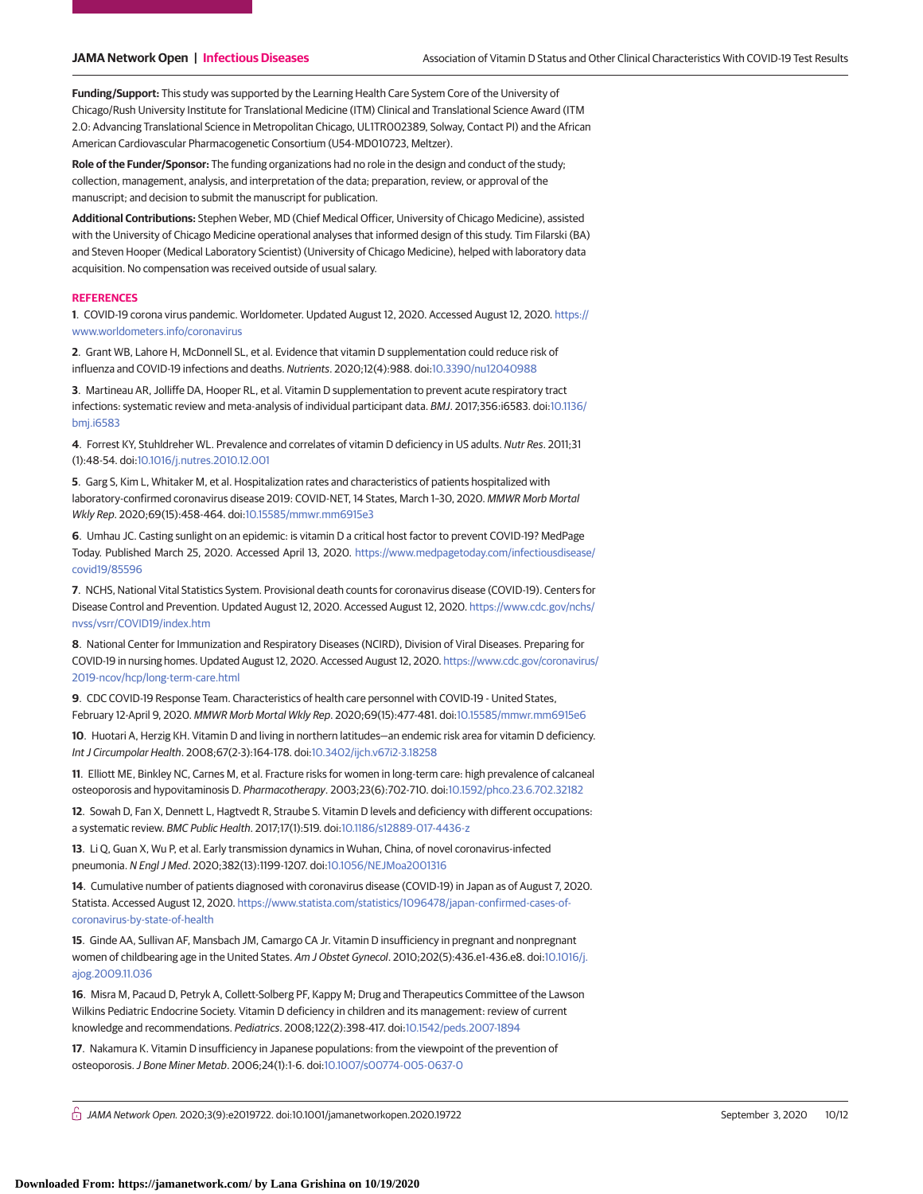**Funding/Support:** This study was supported by the Learning Health Care System Core of the University of Chicago/Rush University Institute for Translational Medicine (ITM) Clinical and Translational Science Award (ITM 2.0: Advancing Translational Science in Metropolitan Chicago, UL1TR002389, Solway, Contact PI) and the African American Cardiovascular Pharmacogenetic Consortium (U54-MD010723, Meltzer).

**Role of the Funder/Sponsor:** The funding organizations had no role in the design and conduct of the study; collection, management, analysis, and interpretation of the data; preparation, review, or approval of the manuscript; and decision to submit the manuscript for publication.

**Additional Contributions:** Stephen Weber, MD (Chief Medical Officer, University of Chicago Medicine), assisted with the University of Chicago Medicine operational analyses that informed design of this study. Tim Filarski (BA) and Steven Hooper (Medical Laboratory Scientist) (University of Chicago Medicine), helped with laboratory data acquisition. No compensation was received outside of usual salary.

#### **REFERENCES**

**1**. COVID-19 corona virus pandemic. Worldometer. Updated August 12, 2020. Accessed August 12, 2020. [https://](https://www.worldometers.info/coronavirus) [www.worldometers.info/coronavirus](https://www.worldometers.info/coronavirus)

**2**. Grant WB, Lahore H, McDonnell SL, et al. Evidence that vitamin D supplementation could reduce risk of influenza and COVID-19 infections and deaths. Nutrients. 2020;12(4):988. doi[:10.3390/nu12040988](https://dx.doi.org/10.3390/nu12040988)

**3**. Martineau AR, Jolliffe DA, Hooper RL, et al. Vitamin D supplementation to prevent acute respiratory tract infections: systematic review and meta-analysis of individual participant data. BMJ. 2017;356:i6583. doi[:10.1136/](https://dx.doi.org/10.1136/bmj.i6583) [bmj.i6583](https://dx.doi.org/10.1136/bmj.i6583)

**4**. Forrest KY, Stuhldreher WL. Prevalence and correlates of vitamin D deficiency in US adults. Nutr Res. 2011;31 (1):48-54. doi[:10.1016/j.nutres.2010.12.001](https://dx.doi.org/10.1016/j.nutres.2010.12.001)

**5**. Garg S, Kim L, Whitaker M, et al. Hospitalization rates and characteristics of patients hospitalized with laboratory-confirmed coronavirus disease 2019: COVID-NET, 14 States, March 1–30, 2020. MMWR Morb Mortal Wkly Rep. 2020;69(15):458-464. doi[:10.15585/mmwr.mm6915e3](https://dx.doi.org/10.15585/mmwr.mm6915e3)

**6**. Umhau JC. Casting sunlight on an epidemic: is vitamin D a critical host factor to prevent COVID-19? MedPage Today. Published March 25, 2020. Accessed April 13, 2020. [https://www.medpagetoday.com/infectiousdisease/](https://www.medpagetoday.com/infectiousdisease/covid19/85596) [covid19/85596](https://www.medpagetoday.com/infectiousdisease/covid19/85596)

**7**. NCHS, National Vital Statistics System. Provisional death counts for coronavirus disease (COVID-19). Centers for Disease Control and Prevention. Updated August 12, 2020. Accessed August 12, 2020. [https://www.cdc.gov/nchs/](https://www.cdc.gov/nchs/nvss/vsrr/COVID19/index.htm) [nvss/vsrr/COVID19/index.htm](https://www.cdc.gov/nchs/nvss/vsrr/COVID19/index.htm)

**8**. National Center for Immunization and Respiratory Diseases (NCIRD), Division of Viral Diseases. Preparing for COVID-19 in nursing homes. Updated August 12, 2020. Accessed August 12, 2020. [https://www.cdc.gov/coronavirus/](https://www.cdc.gov/coronavirus/2019-ncov/hcp/long-term-care.html) [2019-ncov/hcp/long-term-care.html](https://www.cdc.gov/coronavirus/2019-ncov/hcp/long-term-care.html)

**9**. CDC COVID-19 Response Team. Characteristics of health care personnel with COVID-19 - United States, February 12-April 9, 2020. MMWR Morb Mortal Wkly Rep. 2020;69(15):477-481. doi[:10.15585/mmwr.mm6915e6](https://dx.doi.org/10.15585/mmwr.mm6915e6)

**10**. Huotari A, Herzig KH. Vitamin D and living in northern latitudes—an endemic risk area for vitamin D deficiency. Int J Circumpolar Health. 2008;67(2-3):164-178. doi[:10.3402/ijch.v67i2-3.18258](https://dx.doi.org/10.3402/ijch.v67i2-3.18258)

**11**. Elliott ME, Binkley NC, Carnes M, et al. Fracture risks for women in long-term care: high prevalence of calcaneal osteoporosis and hypovitaminosis D. Pharmacotherapy. 2003;23(6):702-710. doi[:10.1592/phco.23.6.702.32182](https://dx.doi.org/10.1592/phco.23.6.702.32182)

**12**. Sowah D, Fan X, Dennett L, Hagtvedt R, Straube S. Vitamin D levels and deficiency with different occupations: a systematic review. BMC Public Health. 2017;17(1):519. doi[:10.1186/s12889-017-4436-z](https://dx.doi.org/10.1186/s12889-017-4436-z)

**13**. Li Q, Guan X, Wu P, et al. Early transmission dynamics in Wuhan, China, of novel coronavirus-infected pneumonia. N Engl J Med. 2020;382(13):1199-1207. doi[:10.1056/NEJMoa2001316](https://dx.doi.org/10.1056/NEJMoa2001316)

**14**. Cumulative number of patients diagnosed with coronavirus disease (COVID-19) in Japan as of August 7, 2020. Statista. Accessed August 12, 2020. [https://www.statista.com/statistics/1096478/japan-confirmed-cases-of](https://www.statista.com/statistics/1096478/japan-confirmed-cases-of-coronavirus-by-state-of-health)[coronavirus-by-state-of-health](https://www.statista.com/statistics/1096478/japan-confirmed-cases-of-coronavirus-by-state-of-health)

**15**. Ginde AA, Sullivan AF, Mansbach JM, Camargo CA Jr. Vitamin D insufficiency in pregnant and nonpregnant women of childbearing age in the United States. Am J Obstet Gynecol. 2010;202(5):436.e1-436.e8. doi[:10.1016/j.](https://dx.doi.org/10.1016/j.ajog.2009.11.036) [ajog.2009.11.036](https://dx.doi.org/10.1016/j.ajog.2009.11.036)

**16**. Misra M, Pacaud D, Petryk A, Collett-Solberg PF, Kappy M; Drug and Therapeutics Committee of the Lawson Wilkins Pediatric Endocrine Society. Vitamin D deficiency in children and its management: review of current knowledge and recommendations. Pediatrics. 2008;122(2):398-417. doi[:10.1542/peds.2007-1894](https://dx.doi.org/10.1542/peds.2007-1894)

**17**. Nakamura K. Vitamin D insufficiency in Japanese populations: from the viewpoint of the prevention of osteoporosis.J Bone Miner Metab. 2006;24(1):1-6. doi[:10.1007/s00774-005-0637-0](https://dx.doi.org/10.1007/s00774-005-0637-0)

 $\bigcap$  JAMA Network Open. 2020;3(9):e2019722. doi:10.1001/jamanetworkopen.2020.19722 (Reprinted at a september 3, 2020 10/12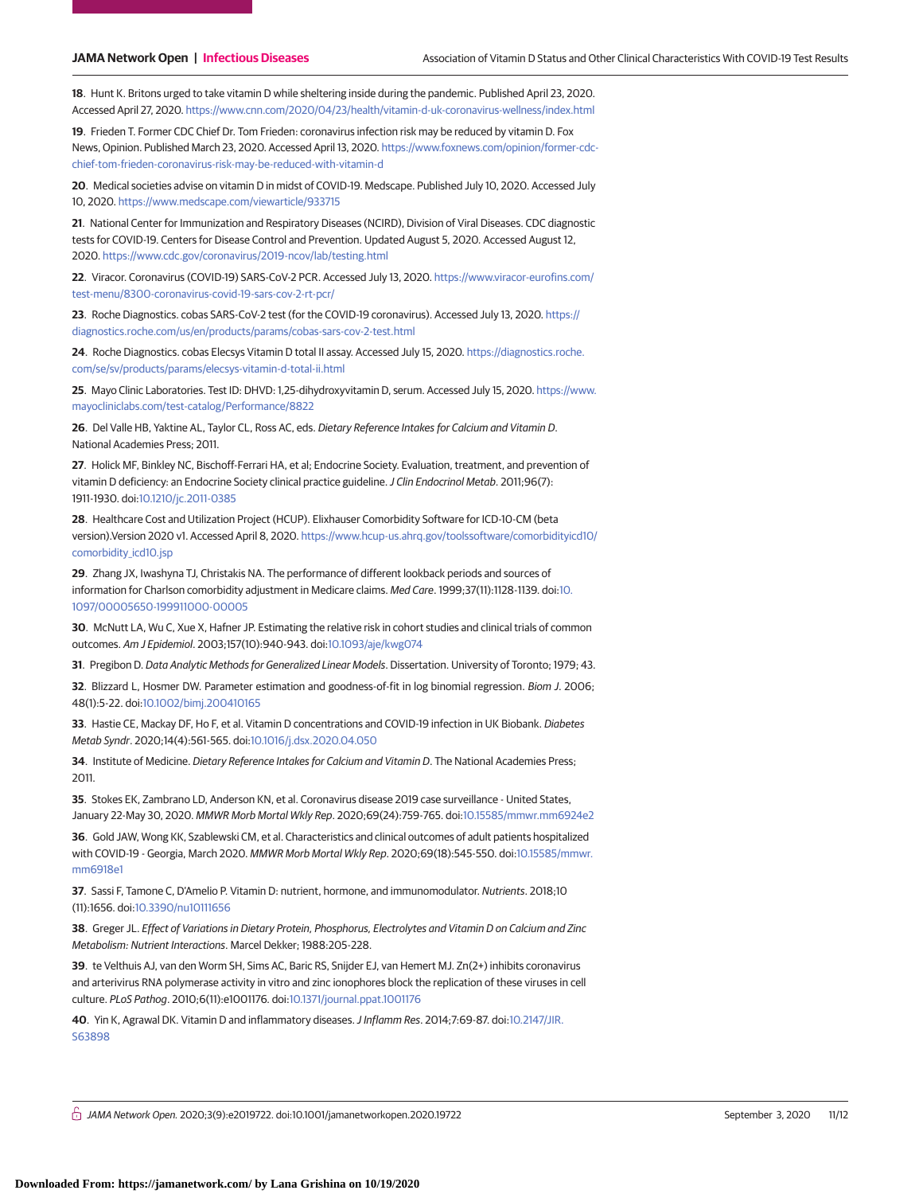**18**. Hunt K. Britons urged to take vitamin D while sheltering inside during the pandemic. Published April 23, 2020. Accessed April 27, 2020. <https://www.cnn.com/2020/04/23/health/vitamin-d-uk-coronavirus-wellness/index.html>

**19**. Frieden T. Former CDC Chief Dr. Tom Frieden: coronavirus infection risk may be reduced by vitamin D. Fox News, Opinion. Published March 23, 2020. Accessed April 13, 2020. [https://www.foxnews.com/opinion/former-cdc](https://www.foxnews.com/opinion/former-cdc-chief-tom-frieden-coronavirus-risk-may-be-reduced-with-vitamin-d)[chief-tom-frieden-coronavirus-risk-may-be-reduced-with-vitamin-d](https://www.foxnews.com/opinion/former-cdc-chief-tom-frieden-coronavirus-risk-may-be-reduced-with-vitamin-d)

**20**. Medical societies advise on vitamin D in midst of COVID-19. Medscape. Published July 10, 2020. Accessed July 10, 2020. <https://www.medscape.com/viewarticle/933715>

**21**. National Center for Immunization and Respiratory Diseases (NCIRD), Division of Viral Diseases. CDC diagnostic tests for COVID-19. Centers for Disease Control and Prevention. Updated August 5, 2020. Accessed August 12, 2020. <https://www.cdc.gov/coronavirus/2019-ncov/lab/testing.html>

**22**. Viracor. Coronavirus (COVID-19) SARS-CoV-2 PCR. Accessed July 13, 2020. [https://www.viracor-eurofins.com/](https://www.viracor-eurofins.com/test-menu/8300-coronavirus-covid-19-sars-cov-2-rt-pcr/) [test-menu/8300-coronavirus-covid-19-sars-cov-2-rt-pcr/](https://www.viracor-eurofins.com/test-menu/8300-coronavirus-covid-19-sars-cov-2-rt-pcr/)

**23**. Roche Diagnostics. cobas SARS-CoV-2 test (for the COVID-19 coronavirus). Accessed July 13, 2020. [https://](https://diagnostics.roche.com/us/en/products/params/cobas-sars-cov-2-test.html) [diagnostics.roche.com/us/en/products/params/cobas-sars-cov-2-test.html](https://diagnostics.roche.com/us/en/products/params/cobas-sars-cov-2-test.html)

**24**. Roche Diagnostics. cobas Elecsys Vitamin D total II assay. Accessed July 15, 2020. [https://diagnostics.roche.](https://diagnostics.roche.com/se/sv/products/params/elecsys-vitamin-d-total-ii.html) [com/se/sv/products/params/elecsys-vitamin-d-total-ii.html](https://diagnostics.roche.com/se/sv/products/params/elecsys-vitamin-d-total-ii.html)

**25**. Mayo Clinic Laboratories. Test ID: DHVD: 1,25-dihydroxyvitamin D, serum. Accessed July 15, 2020. [https://www.](https://www.mayocliniclabs.com/test-catalog/Performance/8822) [mayocliniclabs.com/test-catalog/Performance/8822](https://www.mayocliniclabs.com/test-catalog/Performance/8822)

**26**. Del Valle HB, Yaktine AL, Taylor CL, Ross AC, eds. Dietary Reference Intakes for Calcium and Vitamin D. National Academies Press; 2011.

**27**. Holick MF, Binkley NC, Bischoff-Ferrari HA, et al; Endocrine Society. Evaluation, treatment, and prevention of vitamin D deficiency: an Endocrine Society clinical practice guideline. J Clin Endocrinol Metab. 2011;96(7): 1911-1930. doi[:10.1210/jc.2011-0385](https://dx.doi.org/10.1210/jc.2011-0385)

**28**. Healthcare Cost and Utilization Project (HCUP). Elixhauser Comorbidity Software for ICD-10-CM (beta version).Version 2020 v1. Accessed April 8, 2020. [https://www.hcup-us.ahrq.gov/toolssoftware/comorbidityicd10/](https://www.hcup-us.ahrq.gov/toolssoftware/comorbidityicd10/comorbidity_icd10.jsp) comorbidity icd10.jsp

**29**. Zhang JX, Iwashyna TJ, Christakis NA. The performance of different lookback periods and sources of information for Charlson comorbidity adjustment in Medicare claims. Med Care. 1999;37(11):1128-1139. doi[:10.](https://dx.doi.org/10.1097/00005650-199911000-00005) [1097/00005650-199911000-00005](https://dx.doi.org/10.1097/00005650-199911000-00005)

**30**. McNutt LA, Wu C, Xue X, Hafner JP. Estimating the relative risk in cohort studies and clinical trials of common outcomes. Am J Epidemiol. 2003;157(10):940-943. doi[:10.1093/aje/kwg074](https://dx.doi.org/10.1093/aje/kwg074)

**31**. Pregibon D. Data Analytic Methods for Generalized Linear Models. Dissertation. University of Toronto; 1979; 43.

**32**. Blizzard L, Hosmer DW. Parameter estimation and goodness-of-fit in log binomial regression. Biom J. 2006; 48(1):5-22. doi[:10.1002/bimj.200410165](https://dx.doi.org/10.1002/bimj.200410165)

**33**. Hastie CE, Mackay DF, Ho F, et al. Vitamin D concentrations and COVID-19 infection in UK Biobank. Diabetes Metab Syndr. 2020;14(4):561-565. doi[:10.1016/j.dsx.2020.04.050](https://dx.doi.org/10.1016/j.dsx.2020.04.050)

**34**. Institute of Medicine. Dietary Reference Intakes for Calcium and Vitamin D. The National Academies Press; 2011.

**35**. Stokes EK, Zambrano LD, Anderson KN, et al. Coronavirus disease 2019 case surveillance - United States, January 22-May 30, 2020. MMWR Morb Mortal Wkly Rep. 2020;69(24):759-765. doi[:10.15585/mmwr.mm6924e2](https://dx.doi.org/10.15585/mmwr.mm6924e2)

**36**. Gold JAW, Wong KK, Szablewski CM, et al. Characteristics and clinical outcomes of adult patients hospitalized with COVID-19 - Georgia, March 2020. MMWR Morb Mortal Wkly Rep. 2020;69(18):545-550. doi[:10.15585/mmwr.](https://dx.doi.org/10.15585/mmwr.mm6918e1) [mm6918e1](https://dx.doi.org/10.15585/mmwr.mm6918e1)

**37**. Sassi F, Tamone C, D'Amelio P. Vitamin D: nutrient, hormone, and immunomodulator. Nutrients. 2018;10 (11):1656. doi[:10.3390/nu10111656](https://dx.doi.org/10.3390/nu10111656)

**38**. Greger JL. Effect of Variations in Dietary Protein, Phosphorus, Electrolytes and Vitamin D on Calcium and Zinc Metabolism: Nutrient Interactions. Marcel Dekker; 1988:205-228.

**39**. te Velthuis AJ, van den Worm SH, Sims AC, Baric RS, Snijder EJ, van Hemert MJ. Zn(2+) inhibits coronavirus and arterivirus RNA polymerase activity in vitro and zinc ionophores block the replication of these viruses in cell culture. PLoS Pathog. 2010;6(11):e1001176. doi[:10.1371/journal.ppat.1001176](https://dx.doi.org/10.1371/journal.ppat.1001176)

**40**. Yin K, Agrawal DK. Vitamin D and inflammatory diseases.J Inflamm Res. 2014;7:69-87. doi[:10.2147/JIR.](https://dx.doi.org/10.2147/JIR.S63898) [S63898](https://dx.doi.org/10.2147/JIR.S63898)

 $\bigcap$  JAMA Network Open. 2020;3(9):e2019722. doi:10.1001/jamanetworkopen.2020.19722 (Reprinted) September 3, 2020 11/12